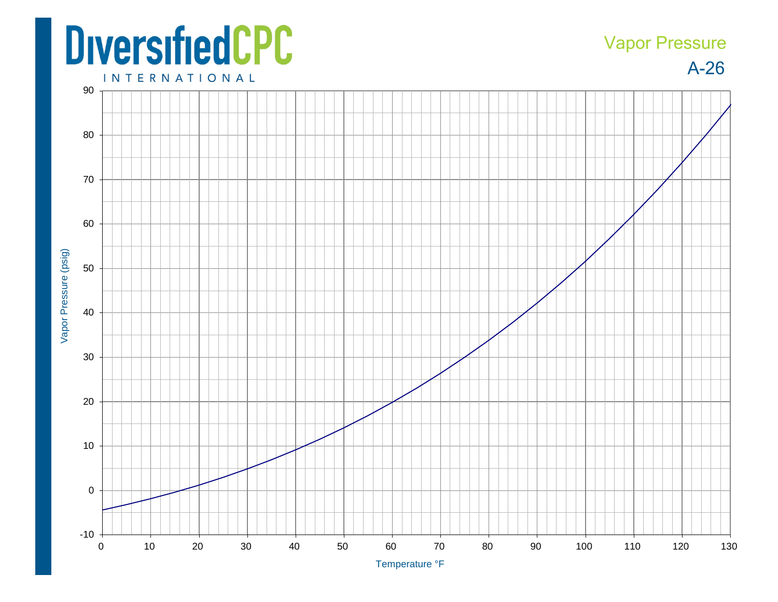## **DiversifiedCPC**

## A-26 Vapor Pressure

**INTERNATIONAL**